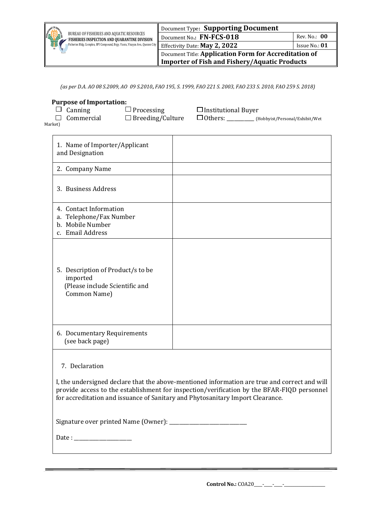| chil OF<br><b>SALES</b><br>BUREAU OF FISHERIES AND AQUATIC RESOURCES<br>FISHERIES INSPECTION AND QUARANTINE DIVISION<br><b>Fisheries Bldg. Complex, BPI Compound, Brgy. Vasra, Visayas Ave., Quezon City</b> Effectivity Date: May 2, 2022 | Document Type: Supporting Document                    |               |  |
|--------------------------------------------------------------------------------------------------------------------------------------------------------------------------------------------------------------------------------------------|-------------------------------------------------------|---------------|--|
|                                                                                                                                                                                                                                            | Document No.: FN-FCS-018                              | Rev. No.: 00  |  |
|                                                                                                                                                                                                                                            |                                                       | Issue No.: 01 |  |
|                                                                                                                                                                                                                                            | Document Title: Application Form for Accreditation of |               |  |
|                                                                                                                                                                                                                                            | <b>Importer of Fish and Fishery/Aquatic Products</b>  |               |  |

*(as per D.A. AO 08 S.2009, AO 09 S.2010***,** *FAO 195, S. 1999, FAO 221 S. 2003, FAO 233 S. 2010, FAO 259 S. 2018)*

|         | <b>Purpose of Importation:</b>      |                                              |                                              |                                |
|---------|-------------------------------------|----------------------------------------------|----------------------------------------------|--------------------------------|
| Market) | $\Box$ Canning<br>$\Box$ Commercial | $\Box$ Processing<br>$\Box$ Breeding/Culture | $\Box$ Institutional Buyer<br>$\Box$ Others: | (Hobbyist/Personal/Exhibit/Wet |

| 1. Name of Importer/Applicant<br>and Designation                                                |  |
|-------------------------------------------------------------------------------------------------|--|
| 2. Company Name                                                                                 |  |
| 3. Business Address                                                                             |  |
| 4. Contact Information<br>a. Telephone/Fax Number<br>b. Mobile Number<br>c. Email Address       |  |
| 5. Description of Product/s to be<br>imported<br>(Please include Scientific and<br>Common Name) |  |
| 6. Documentary Requirements<br>(see back page)                                                  |  |
|                                                                                                 |  |

7. Declaration

 $\mathsf{r}$ 

I, the undersigned declare that the above-mentioned information are true and correct and will provide access to the establishment for inspection/verification by the BFAR-FIQD personnel for accreditation and issuance of Sanitary and Phytosanitary Import Clearance.

Signature over printed Name (Owner): \_\_\_\_\_\_\_\_\_\_\_\_\_\_\_\_\_\_\_\_\_\_\_\_\_\_\_\_\_\_\_

Date : \_\_\_\_\_\_\_\_\_\_\_\_\_\_\_\_\_\_\_\_\_\_\_